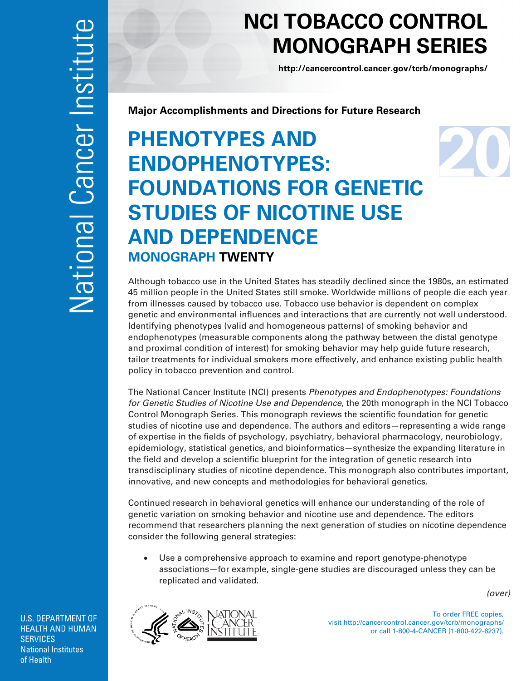## **NCI TOBACCO CONTROL MONOGRAPH SERIES**

**<http://cancercontrol.cancer.gov/tcrb/monographs/>**

**Major Accomplishments and Directions for Future Research** 

## **PHENOTYPES AND ENDOPHENOTYPES: FOUNDATIONS FOR GENETIC STUDIES OF NICOTINE USE AND DEPENDENCE MONOGRAPH TWENTY**

Although tobacco use in the United States has steadily declined since the 1980s, an estimated 45 million people in the United States still smoke. Worldwide millions of people die each year from illnesses caused by tobacco use. Tobacco use behavior is dependent on complex genetic and environmental influences and interactions that are currently not well understood. Identifying phenotypes (valid and homogeneous patterns) of smoking behavior and endophenotypes (measurable components along the pathway between the distal genotype and proximal condition of interest) for smoking behavior may help guide future research, tailor treatments for individual smokers more effectively, and enhance existing public health policy in tobacco prevention and control.

The National Cancer Institute (NCI) presents *Phenotypes and Endophenotypes: Foundations for Genetic Studies of Nicotine Use and Dependence*, the 20th monograph in the NCI Tobacco Control Monograph Series. This monograph reviews the scientific foundation for genetic studies of nicotine use and dependence. The authors and editors—representing a wide range of expertise in the fields of psychology, psychiatry, behavioral pharmacology, neurobiology, epidemiology, statistical genetics, and bioinformatics—synthesize the expanding literature in the field and develop a scientific blueprint for the integration of genetic research into transdisciplinary studies of nicotine dependence. This monograph also contributes important, innovative, and new concepts and methodologies for behavioral genetics.

Continued research in behavioral genetics will enhance our understanding of the role of genetic variation on smoking behavior and nicotine use and dependence. The editors recommend that researchers planning the next generation of studies on nicotine dependence consider the following general strategies:

• Use a comprehensive approach to examine and report genotype-phenotype associations—for example, single-gene studies are discouraged unless they can be replicated and validated.

*(over)* 



To order FREE copies, visit http://cancercontrol.cancer.gov/tcrb/monographs/ or call 1-800-4-CANCER (1-800-422-6237).

**U.S. DEPARTMENT OF HEALTH AND HUMAN SERVICES National Institutes** of Health